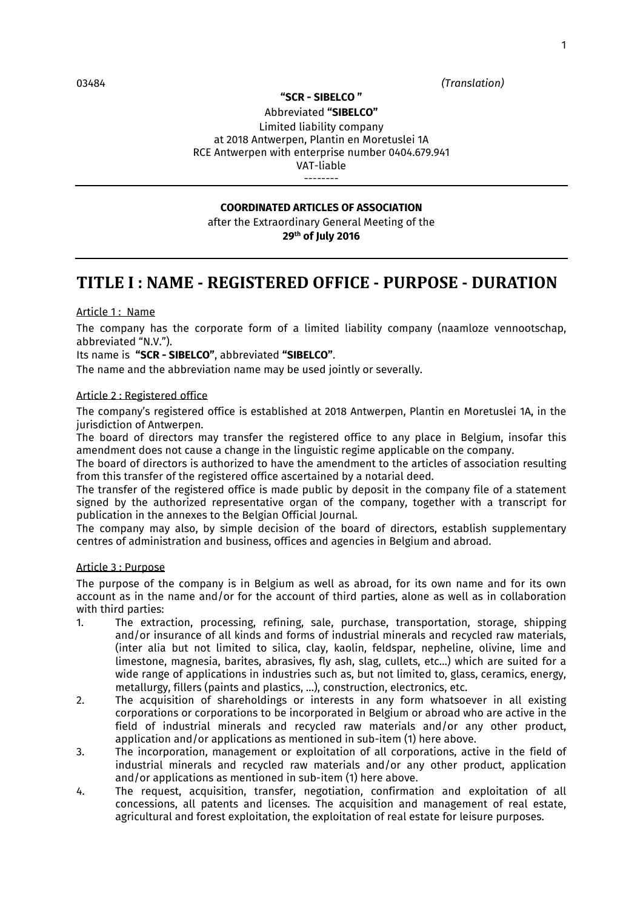03484 *(Translation)* 

#### **"SCR - SIBELCO "**

Abbreviated **"SIBELCO"** Limited liability company at 2018 Antwerpen, Plantin en Moretuslei 1A RCE Antwerpen with enterprise number 0404.679.941 VAT-liable --------

### **COORDINATED ARTICLES OF ASSOCIATION**

after the Extraordinary General Meeting of the **29th of July 2016**

### **TITLE I : NAME - REGISTERED OFFICE - PURPOSE - DURATION**

### Article 1: Name

The company has the corporate form of a limited liability company (naamloze vennootschap, abbreviated "N.V.").

#### Its name is **"SCR - SIBELCO"**, abbreviated **"SIBELCO"**.

The name and the abbreviation name may be used jointly or severally.

#### Article 2 : Registered office

The company's registered office is established at 2018 Antwerpen, Plantin en Moretuslei 1A, in the jurisdiction of Antwerpen.

The board of directors may transfer the registered office to any place in Belgium, insofar this amendment does not cause a change in the linguistic regime applicable on the company.

The board of directors is authorized to have the amendment to the articles of association resulting from this transfer of the registered office ascertained by a notarial deed.

The transfer of the registered office is made public by deposit in the company file of a statement signed by the authorized representative organ of the company, together with a transcript for publication in the annexes to the Belgian Official Journal.

The company may also, by simple decision of the board of directors, establish supplementary centres of administration and business, offices and agencies in Belgium and abroad.

#### Article 3 : Purpose

The purpose of the company is in Belgium as well as abroad, for its own name and for its own account as in the name and/or for the account of third parties, alone as well as in collaboration with third parties:<br>1. The extra

- The extraction, processing, refining, sale, purchase, transportation, storage, shipping and/or insurance of all kinds and forms of industrial minerals and recycled raw materials, (inter alia but not limited to silica, clay, kaolin, feldspar, nepheline, olivine, lime and limestone, magnesia, barites, abrasives, fly ash, slag, cullets, etc…) which are suited for a wide range of applications in industries such as, but not limited to, glass, ceramics, energy, metallurgy, fillers (paints and plastics, …), construction, electronics, etc.
- 2. The acquisition of shareholdings or interests in any form whatsoever in all existing corporations or corporations to be incorporated in Belgium or abroad who are active in the field of industrial minerals and recycled raw materials and/or any other product, application and/or applications as mentioned in sub-item (1) here above.
- 3. The incorporation, management or exploitation of all corporations, active in the field of industrial minerals and recycled raw materials and/or any other product, application and/or applications as mentioned in sub-item (1) here above.
- 4. The request, acquisition, transfer, negotiation, confirmation and exploitation of all concessions, all patents and licenses. The acquisition and management of real estate, agricultural and forest exploitation, the exploitation of real estate for leisure purposes.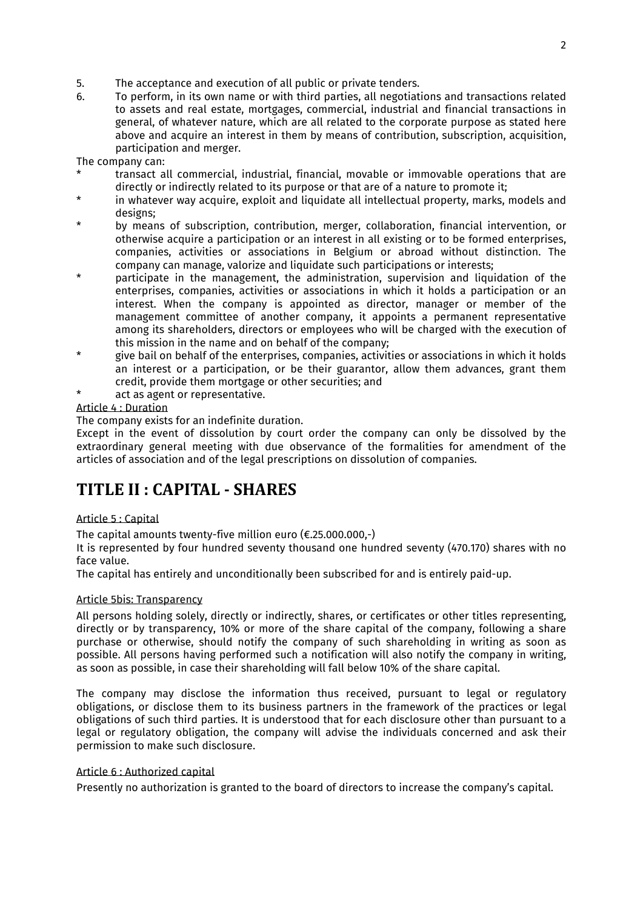- 5. The acceptance and execution of all public or private tenders.
- 6. To perform, in its own name or with third parties, all negotiations and transactions related to assets and real estate, mortgages, commercial, industrial and financial transactions in general, of whatever nature, which are all related to the corporate purpose as stated here above and acquire an interest in them by means of contribution, subscription, acquisition, participation and merger.

The company can:

- transact all commercial, industrial, financial, movable or immovable operations that are directly or indirectly related to its purpose or that are of a nature to promote it;
- \* in whatever way acquire, exploit and liquidate all intellectual property, marks, models and designs;
- by means of subscription, contribution, merger, collaboration, financial intervention, or otherwise acquire a participation or an interest in all existing or to be formed enterprises, companies, activities or associations in Belgium or abroad without distinction. The company can manage, valorize and liquidate such participations or interests;
- participate in the management, the administration, supervision and liquidation of the enterprises, companies, activities or associations in which it holds a participation or an interest. When the company is appointed as director, manager or member of the management committee of another company, it appoints a permanent representative among its shareholders, directors or employees who will be charged with the execution of this mission in the name and on behalf of the company;
- \* give bail on behalf of the enterprises, companies, activities or associations in which it holds an interest or a participation, or be their guarantor, allow them advances, grant them credit, provide them mortgage or other securities; and
- act as agent or representative.

### Article 4 : Duration

The company exists for an indefinite duration.

Except in the event of dissolution by court order the company can only be dissolved by the extraordinary general meeting with due observance of the formalities for amendment of the articles of association and of the legal prescriptions on dissolution of companies.

# **TITLE II : CAPITAL - SHARES**

### Article 5 : Capital

The capital amounts twenty-five million euro ( $\epsilon$ .25.000.000,-)

It is represented by four hundred seventy thousand one hundred seventy (470.170) shares with no face value.

The capital has entirely and unconditionally been subscribed for and is entirely paid-up.

### Article 5bis: Transparency

All persons holding solely, directly or indirectly, shares, or certificates or other titles representing, directly or by transparency, 10% or more of the share capital of the company, following a share purchase or otherwise, should notify the company of such shareholding in writing as soon as possible. All persons having performed such a notification will also notify the company in writing, as soon as possible, in case their shareholding will fall below 10% of the share capital.

The company may disclose the information thus received, pursuant to legal or regulatory obligations, or disclose them to its business partners in the framework of the practices or legal obligations of such third parties. It is understood that for each disclosure other than pursuant to a legal or regulatory obligation, the company will advise the individuals concerned and ask their permission to make such disclosure.

### Article 6 : Authorized capital

Presently no authorization is granted to the board of directors to increase the company's capital.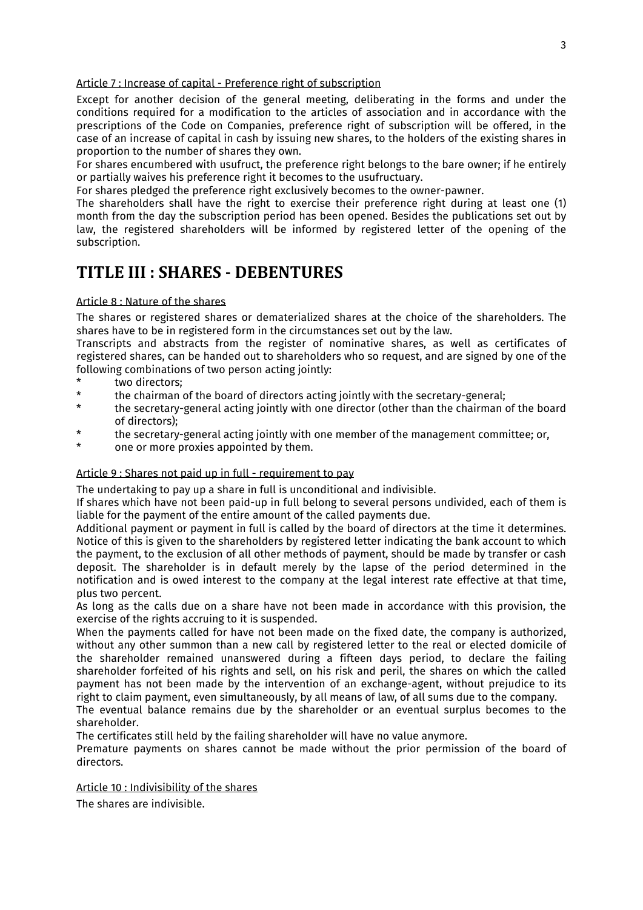### Article 7 : Increase of capital - Preference right of subscription

Except for another decision of the general meeting, deliberating in the forms and under the conditions required for a modification to the articles of association and in accordance with the prescriptions of the Code on Companies, preference right of subscription will be offered, in the case of an increase of capital in cash by issuing new shares, to the holders of the existing shares in proportion to the number of shares they own.

For shares encumbered with usufruct, the preference right belongs to the bare owner; if he entirely or partially waives his preference right it becomes to the usufructuary.

For shares pledged the preference right exclusively becomes to the owner-pawner.

The shareholders shall have the right to exercise their preference right during at least one (1) month from the day the subscription period has been opened. Besides the publications set out by law, the registered shareholders will be informed by registered letter of the opening of the subscription.

### **TITLE III : SHARES - DEBENTURES**

### Article 8 : Nature of the shares

The shares or registered shares or dematerialized shares at the choice of the shareholders. The shares have to be in registered form in the circumstances set out by the law.

Transcripts and abstracts from the register of nominative shares, as well as certificates of registered shares, can be handed out to shareholders who so request, and are signed by one of the following combinations of two person acting jointly:

- \* two directors;<br>\* the chairman
- \* the chairman of the board of directors acting jointly with the secretary-general;<br>\* the secretary-general acting jointly with one director (other than the chairman  $\ell$
- the secretary-general acting jointly with one director (other than the chairman of the board of directors);
- \* the secretary-general acting jointly with one member of the management committee; or,<br>\* 000 or more provise anneinted by them
- one or more proxies appointed by them.

### Article 9 : Shares not paid up in full - requirement to pay

The undertaking to pay up a share in full is unconditional and indivisible.

If shares which have not been paid-up in full belong to several persons undivided, each of them is liable for the payment of the entire amount of the called payments due.

Additional payment or payment in full is called by the board of directors at the time it determines. Notice of this is given to the shareholders by registered letter indicating the bank account to which the payment, to the exclusion of all other methods of payment, should be made by transfer or cash deposit. The shareholder is in default merely by the lapse of the period determined in the notification and is owed interest to the company at the legal interest rate effective at that time, plus two percent.

As long as the calls due on a share have not been made in accordance with this provision, the exercise of the rights accruing to it is suspended.

When the payments called for have not been made on the fixed date, the company is authorized, without any other summon than a new call by registered letter to the real or elected domicile of the shareholder remained unanswered during a fifteen days period, to declare the failing shareholder forfeited of his rights and sell, on his risk and peril, the shares on which the called payment has not been made by the intervention of an exchange-agent, without prejudice to its right to claim payment, even simultaneously, by all means of law, of all sums due to the company.

The eventual balance remains due by the shareholder or an eventual surplus becomes to the shareholder.

The certificates still held by the failing shareholder will have no value anymore.

Premature payments on shares cannot be made without the prior permission of the board of directors.

### Article 10 : Indivisibility of the shares

The shares are indivisible.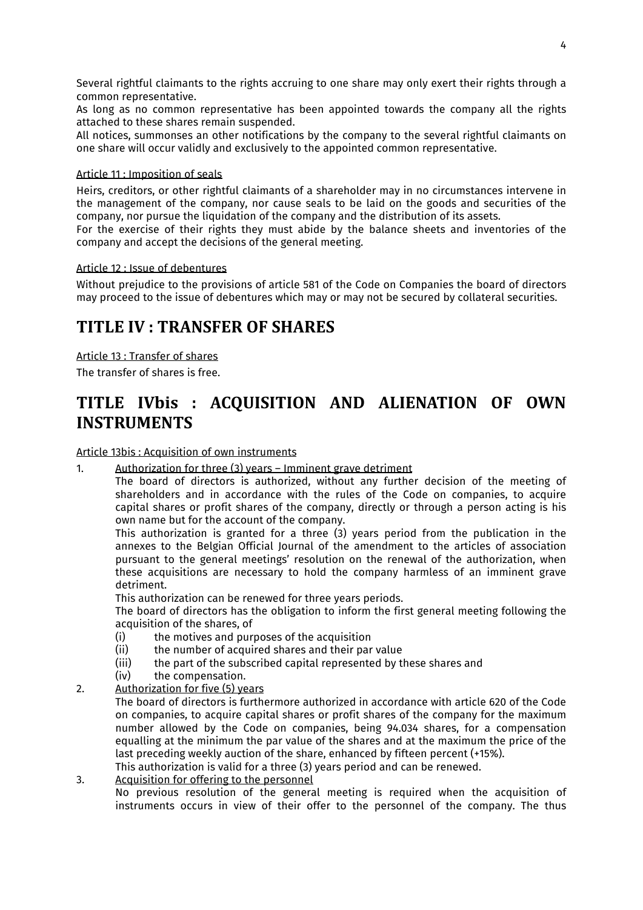Several rightful claimants to the rights accruing to one share may only exert their rights through a common representative.

As long as no common representative has been appointed towards the company all the rights attached to these shares remain suspended.

All notices, summonses an other notifications by the company to the several rightful claimants on one share will occur validly and exclusively to the appointed common representative.

### Article 11 : Imposition of seals

Heirs, creditors, or other rightful claimants of a shareholder may in no circumstances intervene in the management of the company, nor cause seals to be laid on the goods and securities of the company, nor pursue the liquidation of the company and the distribution of its assets.

For the exercise of their rights they must abide by the balance sheets and inventories of the company and accept the decisions of the general meeting.

### Article 12 : Issue of debentures

Without prejudice to the provisions of article 581 of the Code on Companies the board of directors may proceed to the issue of debentures which may or may not be secured by collateral securities.

### **TITLE IV : TRANSFER OF SHARES**

Article 13 : Transfer of shares The transfer of shares is free.

# **TITLE IVbis : ACQUISITION AND ALIENATION OF OWN INSTRUMENTS**

### Article 13bis : Acquisition of own instruments

1. Authorization for three (3) years – Imminent grave detriment

 The board of directors is authorized, without any further decision of the meeting of shareholders and in accordance with the rules of the Code on companies, to acquire capital shares or profit shares of the company, directly or through a person acting is his own name but for the account of the company.

 This authorization is granted for a three (3) years period from the publication in the annexes to the Belgian Official Journal of the amendment to the articles of association pursuant to the general meetings' resolution on the renewal of the authorization, when these acquisitions are necessary to hold the company harmless of an imminent grave detriment.

This authorization can be renewed for three years periods.

 The board of directors has the obligation to inform the first general meeting following the acquisition of the shares, of<br>(i) the motives and pure

- (i) the motives and purposes of the acquisition<br>(ii) the number of acquired shares and their par
- (ii) the number of acquired shares and their par value<br>(iii) the part of the subscribed capital represented by t
- (iii) the part of the subscribed capital represented by these shares and  $(iv)$  the compensation.
- the compensation.
- 2. Authorization for five (5) years

 The board of directors is furthermore authorized in accordance with article 620 of the Code on companies, to acquire capital shares or profit shares of the company for the maximum number allowed by the Code on companies, being 94.034 shares, for a compensation equalling at the minimum the par value of the shares and at the maximum the price of the last preceding weekly auction of the share, enhanced by fifteen percent (+15%).

This authorization is valid for a three (3) years period and can be renewed.

### 3. Acquisition for offering to the personnel

 No previous resolution of the general meeting is required when the acquisition of instruments occurs in view of their offer to the personnel of the company. The thus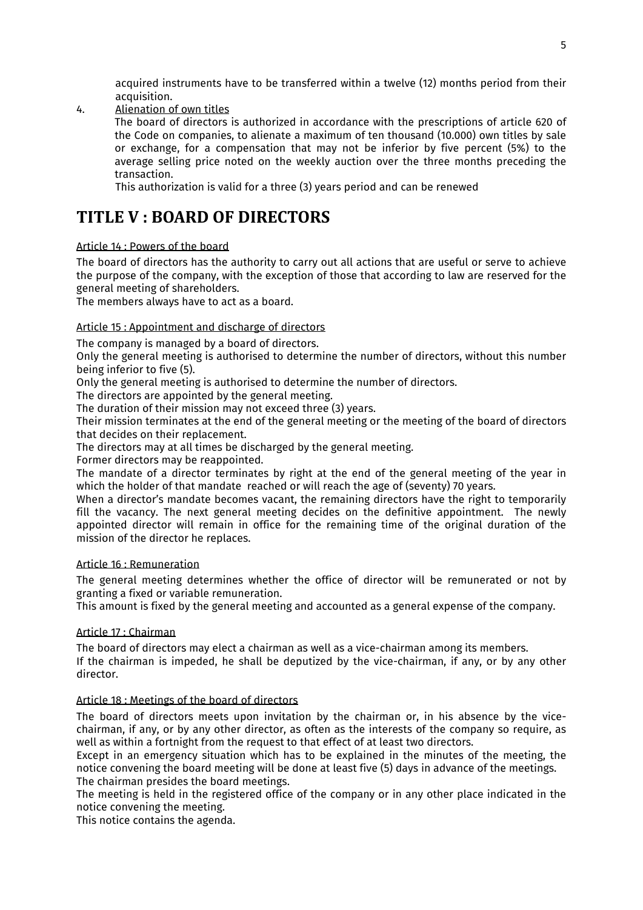acquired instruments have to be transferred within a twelve (12) months period from their acquisition.

4. Alienation of own titles

 The board of directors is authorized in accordance with the prescriptions of article 620 of the Code on companies, to alienate a maximum of ten thousand (10.000) own titles by sale or exchange, for a compensation that may not be inferior by five percent (5%) to the average selling price noted on the weekly auction over the three months preceding the transaction.

This authorization is valid for a three (3) years period and can be renewed

# **TITLE V : BOARD OF DIRECTORS**

### Article 14 : Powers of the board

The board of directors has the authority to carry out all actions that are useful or serve to achieve the purpose of the company, with the exception of those that according to law are reserved for the general meeting of shareholders.

The members always have to act as a board.

### Article 15 : Appointment and discharge of directors

The company is managed by a board of directors.

Only the general meeting is authorised to determine the number of directors, without this number being inferior to five (5).

Only the general meeting is authorised to determine the number of directors.

The directors are appointed by the general meeting.

The duration of their mission may not exceed three (3) years.

Their mission terminates at the end of the general meeting or the meeting of the board of directors that decides on their replacement.

The directors may at all times be discharged by the general meeting.

Former directors may be reappointed.

The mandate of a director terminates by right at the end of the general meeting of the year in which the holder of that mandate reached or will reach the age of (seventy) 70 years.

When a director's mandate becomes vacant, the remaining directors have the right to temporarily fill the vacancy. The next general meeting decides on the definitive appointment. The newly appointed director will remain in office for the remaining time of the original duration of the mission of the director he replaces.

### Article 16 : Remuneration

The general meeting determines whether the office of director will be remunerated or not by granting a fixed or variable remuneration.

This amount is fixed by the general meeting and accounted as a general expense of the company.

### Article 17 : Chairman

The board of directors may elect a chairman as well as a vice-chairman among its members. If the chairman is impeded, he shall be deputized by the vice-chairman, if any, or by any other director.

### Article 18 : Meetings of the board of directors

The board of directors meets upon invitation by the chairman or, in his absence by the vicechairman, if any, or by any other director, as often as the interests of the company so require, as well as within a fortnight from the request to that effect of at least two directors.

Except in an emergency situation which has to be explained in the minutes of the meeting, the notice convening the board meeting will be done at least five (5) days in advance of the meetings. The chairman presides the board meetings.

The meeting is held in the registered office of the company or in any other place indicated in the notice convening the meeting.

This notice contains the agenda.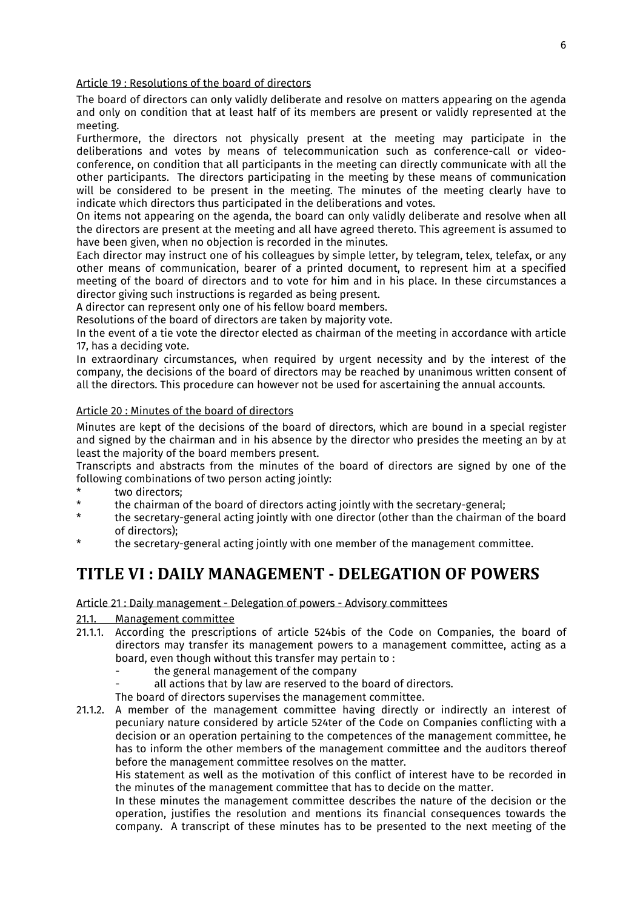Article 19 : Resolutions of the board of directors

The board of directors can only validly deliberate and resolve on matters appearing on the agenda and only on condition that at least half of its members are present or validly represented at the meeting.

Furthermore, the directors not physically present at the meeting may participate in the deliberations and votes by means of telecommunication such as conference-call or videoconference, on condition that all participants in the meeting can directly communicate with all the other participants. The directors participating in the meeting by these means of communication will be considered to be present in the meeting. The minutes of the meeting clearly have to indicate which directors thus participated in the deliberations and votes.

On items not appearing on the agenda, the board can only validly deliberate and resolve when all the directors are present at the meeting and all have agreed thereto. This agreement is assumed to have been given, when no objection is recorded in the minutes.

Each director may instruct one of his colleagues by simple letter, by telegram, telex, telefax, or any other means of communication, bearer of a printed document, to represent him at a specified meeting of the board of directors and to vote for him and in his place. In these circumstances a director giving such instructions is regarded as being present.

A director can represent only one of his fellow board members.

Resolutions of the board of directors are taken by majority vote.

In the event of a tie vote the director elected as chairman of the meeting in accordance with article 17, has a deciding vote.

In extraordinary circumstances, when required by urgent necessity and by the interest of the company, the decisions of the board of directors may be reached by unanimous written consent of all the directors. This procedure can however not be used for ascertaining the annual accounts.

### Article 20 : Minutes of the board of directors

Minutes are kept of the decisions of the board of directors, which are bound in a special register and signed by the chairman and in his absence by the director who presides the meeting an by at least the majority of the board members present.

Transcripts and abstracts from the minutes of the board of directors are signed by one of the following combinations of two person acting jointly:

- \* two directors;<br>\* the chairman
- \* the chairman of the board of directors acting jointly with the secretary-general;<br>\* the secretary-general acting jointly with one director (other than the chairman
- the secretary-general acting jointly with one director (other than the chairman of the board of directors);
- \* the secretary-general acting jointly with one member of the management committee.

# **TITLE VI : DAILY MANAGEMENT - DELEGATION OF POWERS**

Article 21 : Daily management - Delegation of powers - Advisory committees

# 21.1. Management committee<br>21.1.1. According the prescripti

- According the prescriptions of article 524bis of the Code on Companies, the board of directors may transfer its management powers to a management committee, acting as a board, even though without this transfer may pertain to :
	- the general management of the company
	- all actions that by law are reserved to the board of directors.
	- The board of directors supervises the management committee.
- 21.1.2. A member of the management committee having directly or indirectly an interest of pecuniary nature considered by article 524ter of the Code on Companies conflicting with a decision or an operation pertaining to the competences of the management committee, he has to inform the other members of the management committee and the auditors thereof before the management committee resolves on the matter.

 His statement as well as the motivation of this conflict of interest have to be recorded in the minutes of the management committee that has to decide on the matter.

 In these minutes the management committee describes the nature of the decision or the operation, justifies the resolution and mentions its financial consequences towards the company. A transcript of these minutes has to be presented to the next meeting of the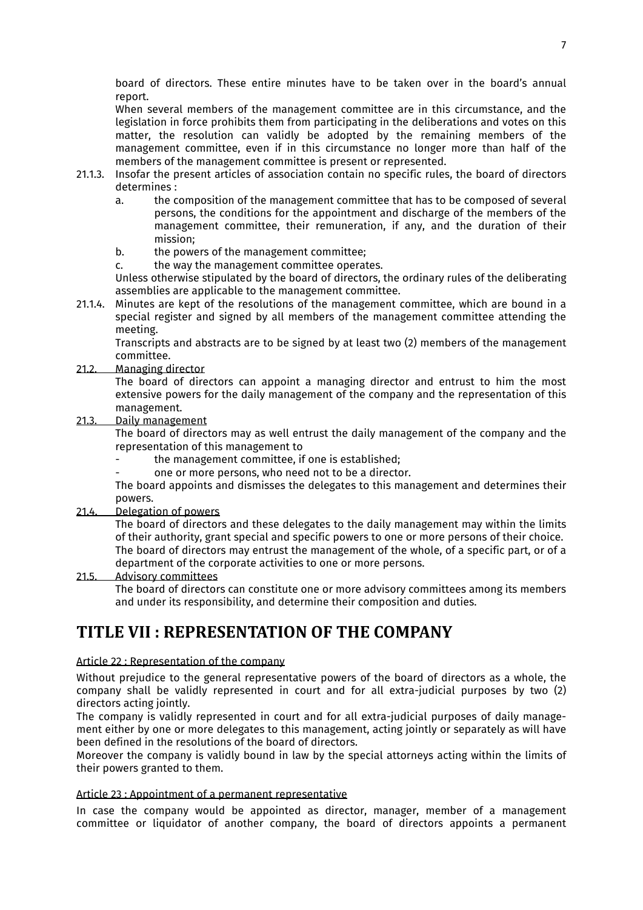board of directors. These entire minutes have to be taken over in the board's annual report.

 When several members of the management committee are in this circumstance, and the legislation in force prohibits them from participating in the deliberations and votes on this matter, the resolution can validly be adopted by the remaining members of the management committee, even if in this circumstance no longer more than half of the members of the management committee is present or represented.

- 21.1.3. Insofar the present articles of association contain no specific rules, the board of directors determines :
	- a. the composition of the management committee that has to be composed of several persons, the conditions for the appointment and discharge of the members of the management committee, their remuneration, if any, and the duration of their mission;
	- b. the powers of the management committee;
	- c. the way the management committee operates.

 Unless otherwise stipulated by the board of directors, the ordinary rules of the deliberating assemblies are applicable to the management committee.

21.1.4. Minutes are kept of the resolutions of the management committee, which are bound in a special register and signed by all members of the management committee attending the meeting.

 Transcripts and abstracts are to be signed by at least two (2) members of the management committee.

21.2. Managing director

 The board of directors can appoint a managing director and entrust to him the most extensive powers for the daily management of the company and the representation of this management.

21.3. Daily management

 The board of directors may as well entrust the daily management of the company and the representation of this management to

- the management committee, if one is established;
- one or more persons, who need not to be a director.

 The board appoints and dismisses the delegates to this management and determines their powers.

21.4. Delegation of powers

 The board of directors and these delegates to the daily management may within the limits of their authority, grant special and specific powers to one or more persons of their choice. The board of directors may entrust the management of the whole, of a specific part, or of a department of the corporate activities to one or more persons.

### 21.5. Advisory committees

 The board of directors can constitute one or more advisory committees among its members and under its responsibility, and determine their composition and duties.

### **TITLE VII : REPRESENTATION OF THE COMPANY**

### Article 22 : Representation of the company

Without prejudice to the general representative powers of the board of directors as a whole, the company shall be validly represented in court and for all extra-judicial purposes by two (2) directors acting jointly.

The company is validly represented in court and for all extra-judicial purposes of daily management either by one or more delegates to this management, acting jointly or separately as will have been defined in the resolutions of the board of directors.

Moreover the company is validly bound in law by the special attorneys acting within the limits of their powers granted to them.

### Article 23 : Appointment of a permanent representative

In case the company would be appointed as director, manager, member of a management committee or liquidator of another company, the board of directors appoints a permanent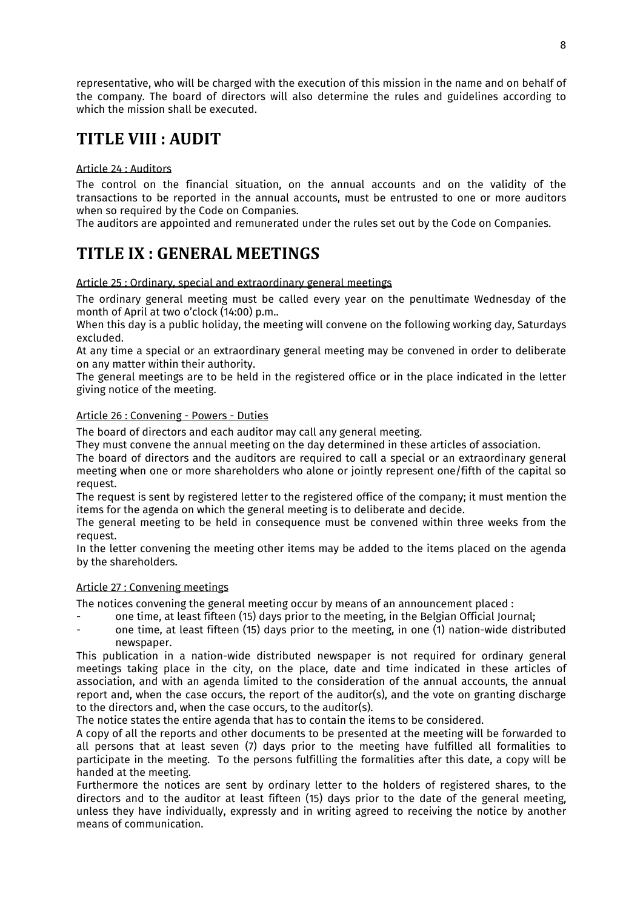representative, who will be charged with the execution of this mission in the name and on behalf of the company. The board of directors will also determine the rules and guidelines according to which the mission shall be executed.

# **TITLE VIII : AUDIT**

### Article 24 : Auditors

The control on the financial situation, on the annual accounts and on the validity of the transactions to be reported in the annual accounts, must be entrusted to one or more auditors when so required by the Code on Companies.

The auditors are appointed and remunerated under the rules set out by the Code on Companies.

# **TITLE IX : GENERAL MEETINGS**

### Article 25 : Ordinary, special and extraordinary general meetings

The ordinary general meeting must be called every year on the penultimate Wednesday of the month of April at two o'clock (14:00) p.m..

When this day is a public holiday, the meeting will convene on the following working day, Saturdays excluded.

At any time a special or an extraordinary general meeting may be convened in order to deliberate on any matter within their authority.

The general meetings are to be held in the registered office or in the place indicated in the letter giving notice of the meeting.

### Article 26 : Convening - Powers - Duties

The board of directors and each auditor may call any general meeting.

They must convene the annual meeting on the day determined in these articles of association.

The board of directors and the auditors are required to call a special or an extraordinary general meeting when one or more shareholders who alone or jointly represent one/fifth of the capital so request.

The request is sent by registered letter to the registered office of the company; it must mention the items for the agenda on which the general meeting is to deliberate and decide.

The general meeting to be held in consequence must be convened within three weeks from the request.

In the letter convening the meeting other items may be added to the items placed on the agenda by the shareholders.

### Article 27 : Convening meetings

The notices convening the general meeting occur by means of an announcement placed :

- one time, at least fifteen (15) days prior to the meeting, in the Belgian Official Journal;
- one time, at least fifteen (15) days prior to the meeting, in one (1) nation-wide distributed newspaper.

This publication in a nation-wide distributed newspaper is not required for ordinary general meetings taking place in the city, on the place, date and time indicated in these articles of association, and with an agenda limited to the consideration of the annual accounts, the annual report and, when the case occurs, the report of the auditor(s), and the vote on granting discharge to the directors and, when the case occurs, to the auditor(s).

The notice states the entire agenda that has to contain the items to be considered.

A copy of all the reports and other documents to be presented at the meeting will be forwarded to all persons that at least seven (7) days prior to the meeting have fulfilled all formalities to participate in the meeting. To the persons fulfilling the formalities after this date, a copy will be handed at the meeting.

Furthermore the notices are sent by ordinary letter to the holders of registered shares, to the directors and to the auditor at least fifteen (15) days prior to the date of the general meeting, unless they have individually, expressly and in writing agreed to receiving the notice by another means of communication.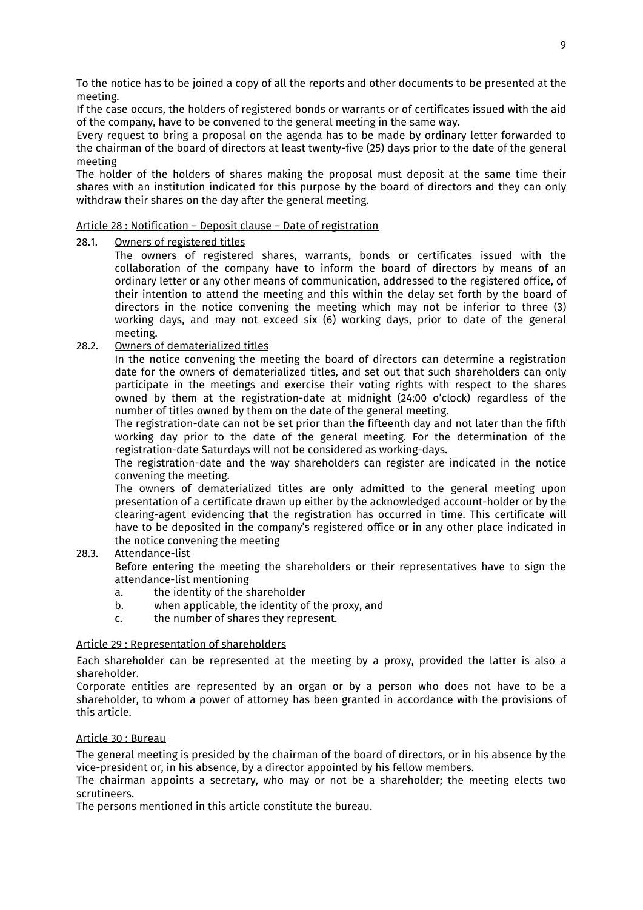To the notice has to be joined a copy of all the reports and other documents to be presented at the meeting.

If the case occurs, the holders of registered bonds or warrants or of certificates issued with the aid of the company, have to be convened to the general meeting in the same way.

Every request to bring a proposal on the agenda has to be made by ordinary letter forwarded to the chairman of the board of directors at least twenty-five (25) days prior to the date of the general meeting

The holder of the holders of shares making the proposal must deposit at the same time their shares with an institution indicated for this purpose by the board of directors and they can only withdraw their shares on the day after the general meeting.

### Article 28 : Notification – Deposit clause – Date of registration

### 28.1. Owners of registered titles

 The owners of registered shares, warrants, bonds or certificates issued with the collaboration of the company have to inform the board of directors by means of an ordinary letter or any other means of communication, addressed to the registered office, of their intention to attend the meeting and this within the delay set forth by the board of directors in the notice convening the meeting which may not be inferior to three (3) working days, and may not exceed six (6) working days, prior to date of the general meeting.

### 28.2. Owners of dematerialized titles

 In the notice convening the meeting the board of directors can determine a registration date for the owners of dematerialized titles, and set out that such shareholders can only participate in the meetings and exercise their voting rights with respect to the shares owned by them at the registration-date at midnight (24:00 o'clock) regardless of the number of titles owned by them on the date of the general meeting.

 The registration-date can not be set prior than the fifteenth day and not later than the fifth working day prior to the date of the general meeting. For the determination of the registration-date Saturdays will not be considered as working-days.

 The registration-date and the way shareholders can register are indicated in the notice convening the meeting.

 The owners of dematerialized titles are only admitted to the general meeting upon presentation of a certificate drawn up either by the acknowledged account-holder or by the clearing-agent evidencing that the registration has occurred in time. This certificate will have to be deposited in the company's registered office or in any other place indicated in the notice convening the meeting

### 28.3. Attendance-list

 Before entering the meeting the shareholders or their representatives have to sign the attendance-list mentioning

- a. the identity of the shareholder
- b. when applicable, the identity of the proxy, and
- c. the number of shares they represent.

#### Article 29 : Representation of shareholders

Each shareholder can be represented at the meeting by a proxy, provided the latter is also a shareholder.

Corporate entities are represented by an organ or by a person who does not have to be a shareholder, to whom a power of attorney has been granted in accordance with the provisions of this article.

### Article 30 : Bureau

The general meeting is presided by the chairman of the board of directors, or in his absence by the vice-president or, in his absence, by a director appointed by his fellow members.

The chairman appoints a secretary, who may or not be a shareholder; the meeting elects two scrutineers.

The persons mentioned in this article constitute the bureau.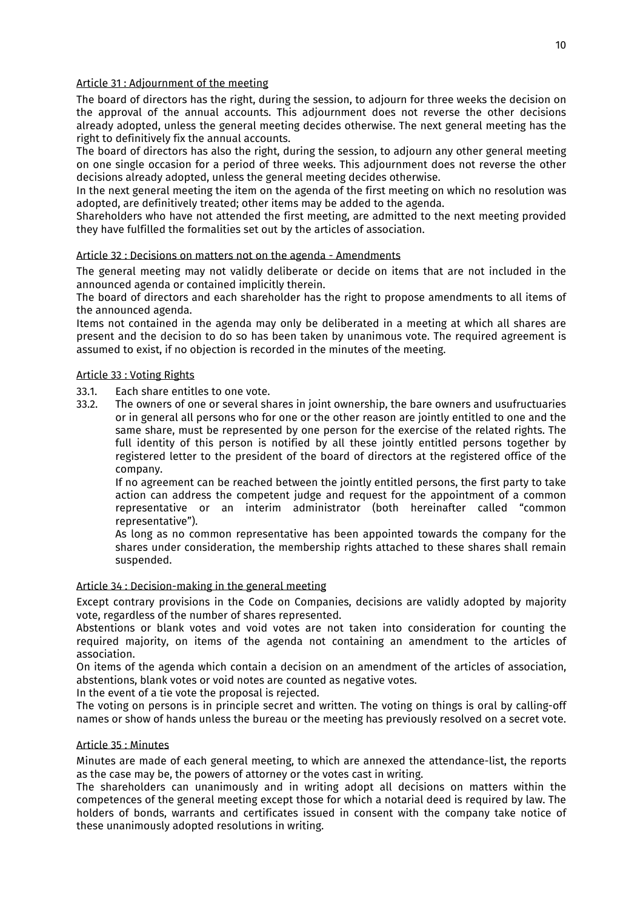### Article 31 : Adjournment of the meeting

The board of directors has the right, during the session, to adjourn for three weeks the decision on the approval of the annual accounts. This adjournment does not reverse the other decisions already adopted, unless the general meeting decides otherwise. The next general meeting has the right to definitively fix the annual accounts.

The board of directors has also the right, during the session, to adjourn any other general meeting on one single occasion for a period of three weeks. This adjournment does not reverse the other decisions already adopted, unless the general meeting decides otherwise.

In the next general meeting the item on the agenda of the first meeting on which no resolution was adopted, are definitively treated; other items may be added to the agenda.

Shareholders who have not attended the first meeting, are admitted to the next meeting provided they have fulfilled the formalities set out by the articles of association.

### Article 32 : Decisions on matters not on the agenda - Amendments

The general meeting may not validly deliberate or decide on items that are not included in the announced agenda or contained implicitly therein.

The board of directors and each shareholder has the right to propose amendments to all items of the announced agenda.

Items not contained in the agenda may only be deliberated in a meeting at which all shares are present and the decision to do so has been taken by unanimous vote. The required agreement is assumed to exist, if no objection is recorded in the minutes of the meeting.

### Article 33 : Voting Rights

- 33.1. Each share entitles to one vote.<br>33.2. The owners of one or several sh
- The owners of one or several shares in joint ownership, the bare owners and usufructuaries or in general all persons who for one or the other reason are jointly entitled to one and the same share, must be represented by one person for the exercise of the related rights. The full identity of this person is notified by all these jointly entitled persons together by registered letter to the president of the board of directors at the registered office of the company.

 If no agreement can be reached between the jointly entitled persons, the first party to take action can address the competent judge and request for the appointment of a common representative or an interim administrator (both hereinafter called "common representative").

 As long as no common representative has been appointed towards the company for the shares under consideration, the membership rights attached to these shares shall remain suspended.

### Article 34 : Decision-making in the general meeting

Except contrary provisions in the Code on Companies, decisions are validly adopted by majority vote, regardless of the number of shares represented.

Abstentions or blank votes and void votes are not taken into consideration for counting the required majority, on items of the agenda not containing an amendment to the articles of association.

On items of the agenda which contain a decision on an amendment of the articles of association, abstentions, blank votes or void notes are counted as negative votes.

In the event of a tie vote the proposal is rejected.

The voting on persons is in principle secret and written. The voting on things is oral by calling-off names or show of hands unless the bureau or the meeting has previously resolved on a secret vote.

#### Article 35 : Minutes

Minutes are made of each general meeting, to which are annexed the attendance-list, the reports as the case may be, the powers of attorney or the votes cast in writing.

The shareholders can unanimously and in writing adopt all decisions on matters within the competences of the general meeting except those for which a notarial deed is required by law. The holders of bonds, warrants and certificates issued in consent with the company take notice of these unanimously adopted resolutions in writing.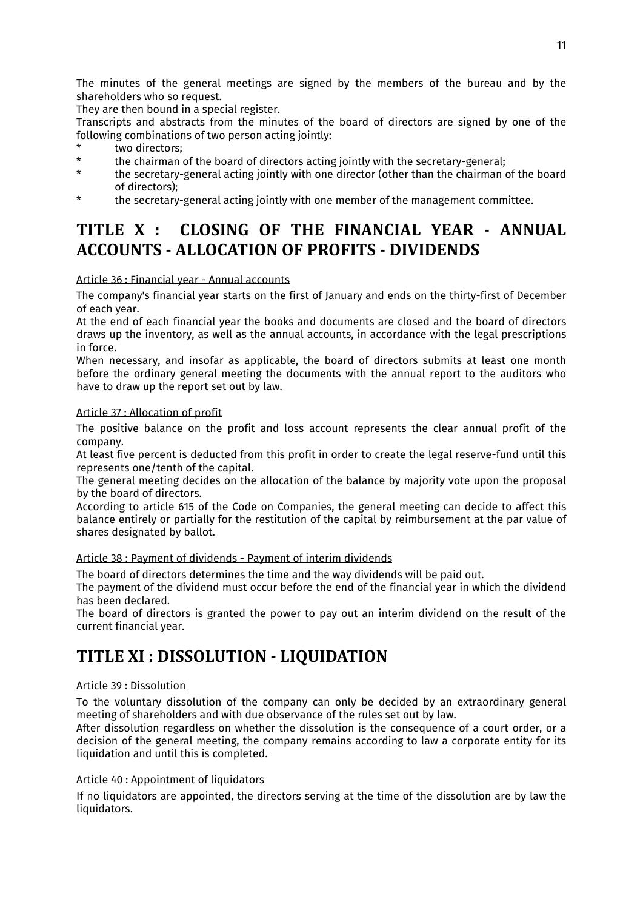The minutes of the general meetings are signed by the members of the bureau and by the shareholders who so request.

They are then bound in a special register.

Transcripts and abstracts from the minutes of the board of directors are signed by one of the following combinations of two person acting jointly:

- \* two directors;<br>\* the shairman
- \* the chairman of the board of directors acting jointly with the secretary-general;
- the secretary-general acting jointly with one director (other than the chairman of the board of directors);
- \* the secretary-general acting jointly with one member of the management committee.

# **TITLE X : CLOSING OF THE FINANCIAL YEAR - ANNUAL ACCOUNTS - ALLOCATION OF PROFITS - DIVIDENDS**

### Article 36 : Financial year - Annual accounts

The company's financial year starts on the first of January and ends on the thirty-first of December of each year.

At the end of each financial year the books and documents are closed and the board of directors draws up the inventory, as well as the annual accounts, in accordance with the legal prescriptions in force.

When necessary, and insofar as applicable, the board of directors submits at least one month before the ordinary general meeting the documents with the annual report to the auditors who have to draw up the report set out by law.

### Article 37 : Allocation of profit

The positive balance on the profit and loss account represents the clear annual profit of the company.

At least five percent is deducted from this profit in order to create the legal reserve-fund until this represents one/tenth of the capital.

The general meeting decides on the allocation of the balance by majority vote upon the proposal by the board of directors.

According to article 615 of the Code on Companies, the general meeting can decide to affect this balance entirely or partially for the restitution of the capital by reimbursement at the par value of shares designated by ballot.

### Article 38 : Payment of dividends - Payment of interim dividends

The board of directors determines the time and the way dividends will be paid out.

The payment of the dividend must occur before the end of the financial year in which the dividend has been declared.

The board of directors is granted the power to pay out an interim dividend on the result of the current financial year.

### **TITLE XI : DISSOLUTION - LIQUIDATION**

### Article 39 : Dissolution

To the voluntary dissolution of the company can only be decided by an extraordinary general meeting of shareholders and with due observance of the rules set out by law.

After dissolution regardless on whether the dissolution is the consequence of a court order, or a decision of the general meeting, the company remains according to law a corporate entity for its liquidation and until this is completed.

### Article 40 : Appointment of liquidators

If no liquidators are appointed, the directors serving at the time of the dissolution are by law the liquidators.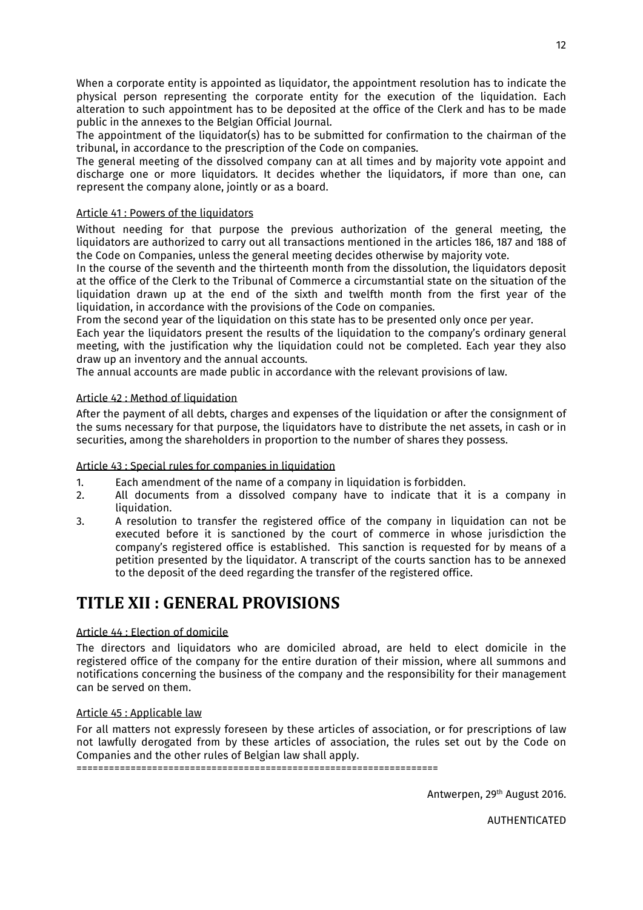When a corporate entity is appointed as liquidator, the appointment resolution has to indicate the physical person representing the corporate entity for the execution of the liquidation. Each alteration to such appointment has to be deposited at the office of the Clerk and has to be made public in the annexes to the Belgian Official Journal.

The appointment of the liquidator(s) has to be submitted for confirmation to the chairman of the tribunal, in accordance to the prescription of the Code on companies.

The general meeting of the dissolved company can at all times and by majority vote appoint and discharge one or more liquidators. It decides whether the liquidators, if more than one, can represent the company alone, jointly or as a board.

### Article 41 : Powers of the liquidators

Without needing for that purpose the previous authorization of the general meeting, the liquidators are authorized to carry out all transactions mentioned in the articles 186, 187 and 188 of the Code on Companies, unless the general meeting decides otherwise by majority vote.

In the course of the seventh and the thirteenth month from the dissolution, the liquidators deposit at the office of the Clerk to the Tribunal of Commerce a circumstantial state on the situation of the liquidation drawn up at the end of the sixth and twelfth month from the first year of the liquidation, in accordance with the provisions of the Code on companies.

From the second year of the liquidation on this state has to be presented only once per year.

Each year the liquidators present the results of the liquidation to the company's ordinary general meeting, with the justification why the liquidation could not be completed. Each year they also draw up an inventory and the annual accounts.

The annual accounts are made public in accordance with the relevant provisions of law.

### Article 42 : Method of liquidation

After the payment of all debts, charges and expenses of the liquidation or after the consignment of the sums necessary for that purpose, the liquidators have to distribute the net assets, in cash or in securities, among the shareholders in proportion to the number of shares they possess.

### Article 43 : Special rules for companies in liquidation

- 1. Each amendment of the name of a company in liquidation is forbidden.<br>2. All documents from a dissolved company have to indicate that is
- All documents from a dissolved company have to indicate that it is a company in liquidation.
- 3. A resolution to transfer the registered office of the company in liquidation can not be executed before it is sanctioned by the court of commerce in whose jurisdiction the company's registered office is established. This sanction is requested for by means of a petition presented by the liquidator. A transcript of the courts sanction has to be annexed to the deposit of the deed regarding the transfer of the registered office.

### **TITLE XII : GENERAL PROVISIONS**

### Article 44 : Election of domicile

The directors and liquidators who are domiciled abroad, are held to elect domicile in the registered office of the company for the entire duration of their mission, where all summons and notifications concerning the business of the company and the responsibility for their management can be served on them.

#### Article 45 : Applicable law

For all matters not expressly foreseen by these articles of association, or for prescriptions of law not lawfully derogated from by these articles of association, the rules set out by the Code on Companies and the other rules of Belgian law shall apply.

===================================================================

Antwerpen, 29th August 2016.

AUTHENTICATED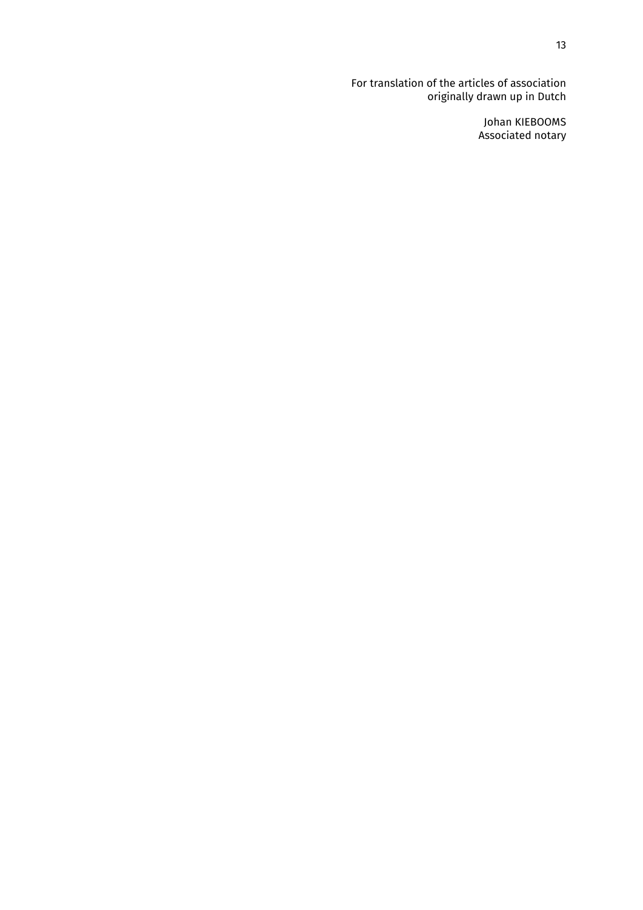For translation of the articles of association originally drawn up in Dutch

> Johan KIEBOOMS Associated notary